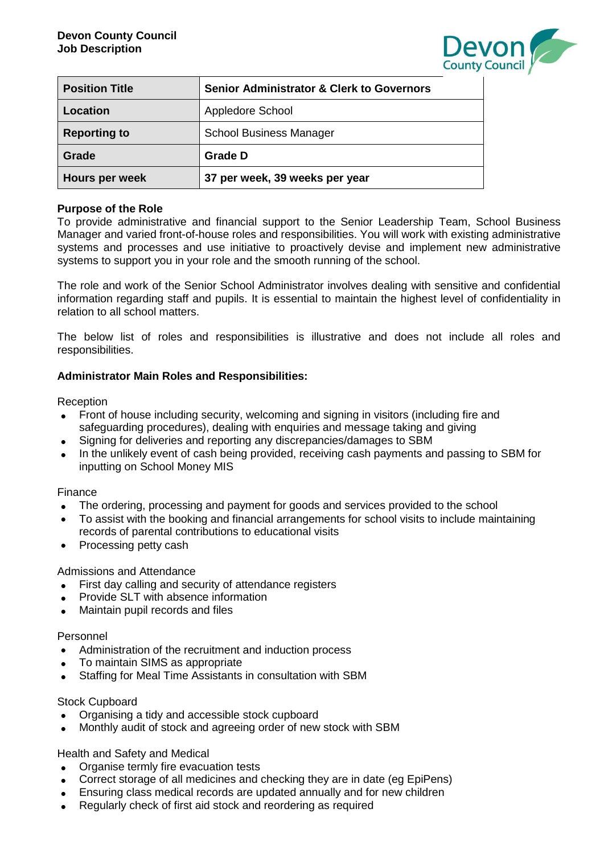

| <b>Position Title</b> | <b>Senior Administrator &amp; Clerk to Governors</b> |
|-----------------------|------------------------------------------------------|
| Location              | Appledore School                                     |
| <b>Reporting to</b>   | <b>School Business Manager</b>                       |
| Grade                 | <b>Grade D</b>                                       |
| Hours per week        | 37 per week, 39 weeks per year                       |

## **Purpose of the Role**

To provide administrative and financial support to the Senior Leadership Team, School Business Manager and varied front-of-house roles and responsibilities. You will work with existing administrative systems and processes and use initiative to proactively devise and implement new administrative systems to support you in your role and the smooth running of the school.

The role and work of the Senior School Administrator involves dealing with sensitive and confidential information regarding staff and pupils. It is essential to maintain the highest level of confidentiality in relation to all school matters.

The below list of roles and responsibilities is illustrative and does not include all roles and responsibilities.

## **Administrator Main Roles and Responsibilities:**

**Reception** 

- Front of house including security, welcoming and signing in visitors (including fire and safeguarding procedures), dealing with enquiries and message taking and giving
- Signing for deliveries and reporting any discrepancies/damages to SBM
- In the unlikely event of cash being provided, receiving cash payments and passing to SBM for inputting on School Money MIS

## Finance

- The ordering, processing and payment for goods and services provided to the school
- To assist with the booking and financial arrangements for school visits to include maintaining records of parental contributions to educational visits
- Processing petty cash

Admissions and Attendance

- First day calling and security of attendance registers
- Provide SLT with absence information
- Maintain pupil records and files

## Personnel

- Administration of the recruitment and induction process
- To maintain SIMS as appropriate
- Staffing for Meal Time Assistants in consultation with SBM

## Stock Cupboard

- Organising a tidy and accessible stock cupboard
- Monthly audit of stock and agreeing order of new stock with SBM

Health and Safety and Medical

- Organise termly fire evacuation tests
- Correct storage of all medicines and checking they are in date (eg EpiPens)
- Ensuring class medical records are updated annually and for new children
- Regularly check of first aid stock and reordering as required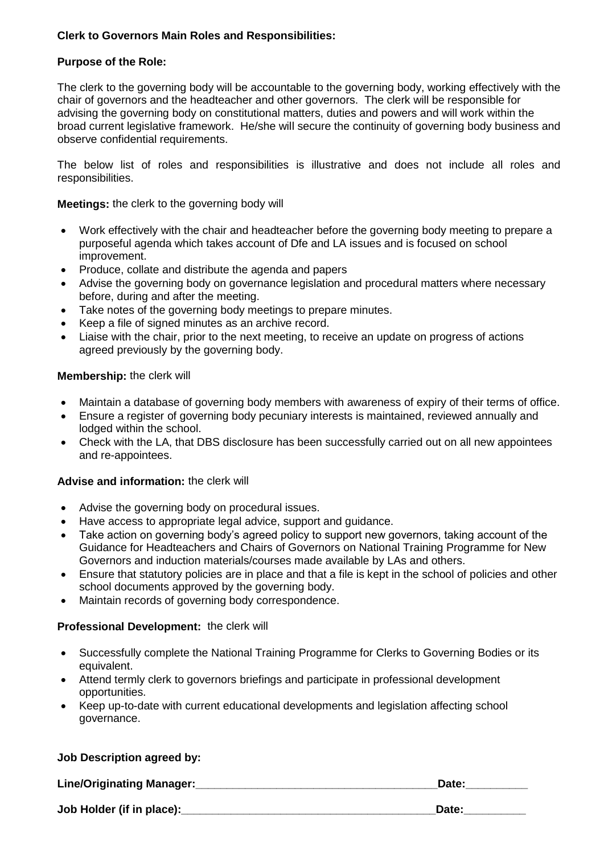# **Clerk to Governors Main Roles and Responsibilities:**

# **Purpose of the Role:**

The clerk to the governing body will be accountable to the governing body, working effectively with the chair of governors and the headteacher and other governors. The clerk will be responsible for advising the governing body on constitutional matters, duties and powers and will work within the broad current legislative framework. He/she will secure the continuity of governing body business and observe confidential requirements.

The below list of roles and responsibilities is illustrative and does not include all roles and responsibilities.

**Meetings:** the clerk to the governing body will

- Work effectively with the chair and headteacher before the governing body meeting to prepare a purposeful agenda which takes account of Dfe and LA issues and is focused on school improvement.
- Produce, collate and distribute the agenda and papers
- Advise the governing body on governance legislation and procedural matters where necessary before, during and after the meeting.
- Take notes of the governing body meetings to prepare minutes.
- Keep a file of signed minutes as an archive record.
- Liaise with the chair, prior to the next meeting, to receive an update on progress of actions agreed previously by the governing body.

## **Membership:** the clerk will

- Maintain a database of governing body members with awareness of expiry of their terms of office.
- Ensure a register of governing body pecuniary interests is maintained, reviewed annually and lodged within the school.
- Check with the LA, that DBS disclosure has been successfully carried out on all new appointees and re-appointees.

## **Advise and information:** the clerk will

- Advise the governing body on procedural issues.
- Have access to appropriate legal advice, support and guidance.
- Take action on governing body's agreed policy to support new governors, taking account of the Guidance for Headteachers and Chairs of Governors on National Training Programme for New Governors and induction materials/courses made available by LAs and others.
- Ensure that statutory policies are in place and that a file is kept in the school of policies and other school documents approved by the governing body.
- Maintain records of governing body correspondence.

## **Professional Development:** the clerk will

- Successfully complete the National Training Programme for Clerks to Governing Bodies or its equivalent.
- Attend termly clerk to governors briefings and participate in professional development opportunities.
- Keep up-to-date with current educational developments and legislation affecting school governance.

## **Job Description agreed by:**

Line/Originating Manager: **All any of the Contract Contract Contract Contract Contract Contract Contract Contract** 

**Job Holder (if in place):\_\_\_\_\_\_\_\_\_\_\_\_\_\_\_\_\_\_\_\_\_\_\_\_\_\_\_\_\_\_\_\_\_\_\_\_\_\_\_\_\_Date:\_\_\_\_\_\_\_\_\_\_**